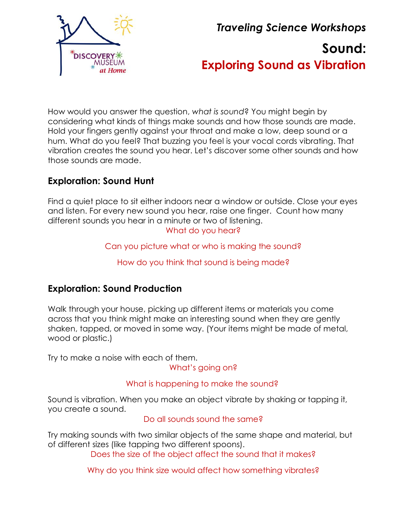

*Traveling Science Workshops* **Sound: Exploring Sound as Vibration**

How would you answer the question, *what is sound*? You might begin by considering what kinds of things make sounds and how those sounds are made. Hold your fingers gently against your throat and make a low, deep sound or a hum. What do you feel? That buzzing you feel is your vocal cords vibrating. That vibration creates the sound you hear. Let's discover some other sounds and how those sounds are made.

## **Exploration: Sound Hunt**

Find a quiet place to sit either indoors near a window or outside. Close your eyes and listen. For every new sound you hear, raise one finger. Count how many different sounds you hear in a minute or two of listening. What do you hear?

Can you picture what or who is making the sound?

How do you think that sound is being made?

## **Exploration: Sound Production**

Walk through your house, picking up different items or materials you come across that you think might make an interesting sound when they are gently shaken, tapped, or moved in some way. (Your items might be made of metal, wood or plastic.)

Try to make a noise with each of them.

What's going on?

#### What is happening to make the sound?

Sound is vibration. When you make an object vibrate by shaking or tapping it, you create a sound.

Do all sounds sound the same?

Try making sounds with two similar objects of the same shape and material, but of different sizes (like tapping two different spoons).

Does the size of the object affect the sound that it makes?

Why do you think size would affect how something vibrates?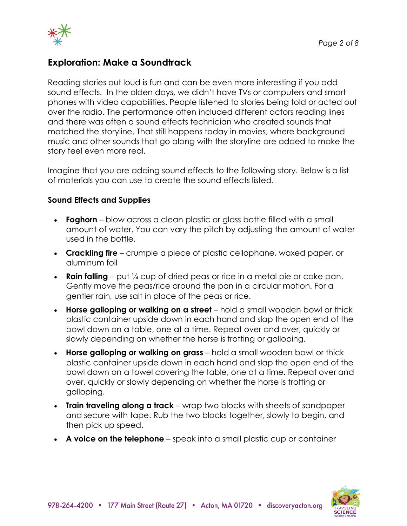

## **Exploration: Make a Soundtrack**

Reading stories out loud is fun and can be even more interesting if you add sound effects. In the olden days, we didn't have TVs or computers and smart phones with video capabilities. People listened to stories being told or acted out over the radio. The performance often included different actors reading lines and there was often a sound effects technician who created sounds that matched the storyline. That still happens today in movies, where background music and other sounds that go along with the storyline are added to make the story feel even more real.

Imagine that you are adding sound effects to the following story. Below is a list of materials you can use to create the sound effects listed.

#### **Sound Effects and Supplies**

- **Foghorn** blow across a clean plastic or glass bottle filled with a small amount of water. You can vary the pitch by adjusting the amount of water used in the bottle.
- **Crackling fire** crumple a piece of plastic cellophane, waxed paper, or aluminum foil
- **Rain falling** put  $\frac{1}{4}$  cup of dried peas or rice in a metal pie or cake pan. Gently move the peas/rice around the pan in a circular motion. For a gentler rain, use salt in place of the peas or rice.
- **Horse galloping or walking on a street** hold a small wooden bowl or thick plastic container upside down in each hand and slap the open end of the bowl down on a table, one at a time. Repeat over and over, quickly or slowly depending on whether the horse is trotting or galloping.
- **Horse galloping or walking on grass** hold a small wooden bowl or thick plastic container upside down in each hand and slap the open end of the bowl down on a towel covering the table, one at a time. Repeat over and over, quickly or slowly depending on whether the horse is trotting or galloping.
- **Train traveling along a track** wrap two blocks with sheets of sandpaper and secure with tape. Rub the two blocks together, slowly to begin, and then pick up speed.
- **A voice on the telephone** speak into a small plastic cup or container

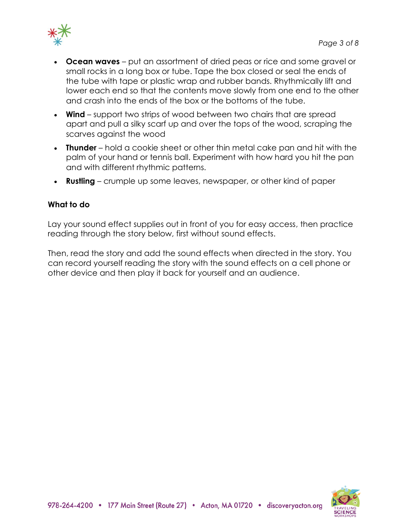

- **Ocean waves** put an assortment of dried peas or rice and some gravel or small rocks in a long box or tube. Tape the box closed or seal the ends of the tube with tape or plastic wrap and rubber bands. Rhythmically lift and lower each end so that the contents move slowly from one end to the other and crash into the ends of the box or the bottoms of the tube.
- **Wind** support two strips of wood between two chairs that are spread apart and pull a silky scarf up and over the tops of the wood, scraping the scarves against the wood
- **Thunder** hold a cookie sheet or other thin metal cake pan and hit with the palm of your hand or tennis ball. Experiment with how hard you hit the pan and with different rhythmic patterns.
- **Rustling** crumple up some leaves, newspaper, or other kind of paper

#### **What to do**

Lay your sound effect supplies out in front of you for easy access, then practice reading through the story below, first without sound effects.

Then, read the story and add the sound effects when directed in the story. You can record yourself reading the story with the sound effects on a cell phone or other device and then play it back for yourself and an audience.

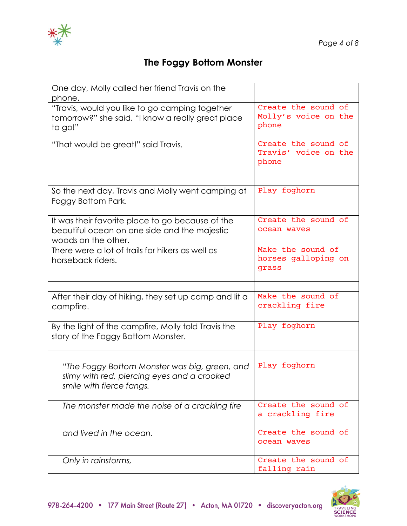

# **The Foggy Bottom Monster**

| One day, Molly called her friend Travis on the<br>phone.                                                                 |                                                      |
|--------------------------------------------------------------------------------------------------------------------------|------------------------------------------------------|
| "Travis, would you like to go camping together<br>tomorrow?" she said. "I know a really great place<br>to go!"           | Create the sound of<br>Molly's voice on the<br>phone |
| "That would be great!" said Travis.                                                                                      | Create the sound of<br>Travis' voice on the<br>phone |
|                                                                                                                          |                                                      |
| So the next day, Travis and Molly went camping at<br>Foggy Bottom Park.                                                  | Play foghorn                                         |
| It was their favorite place to go because of the<br>beautiful ocean on one side and the majestic<br>woods on the other.  | Create the sound of<br>ocean waves                   |
| There were a lot of trails for hikers as well as<br>horseback riders.                                                    | Make the sound of<br>horses galloping on<br>grass    |
|                                                                                                                          |                                                      |
| After their day of hiking, they set up camp and lit a<br>campfire.                                                       | Make the sound of<br>crackling fire                  |
| By the light of the campfire, Molly told Travis the<br>story of the Foggy Bottom Monster.                                | Play foghorn                                         |
|                                                                                                                          |                                                      |
| "The Foggy Bottom Monster was big, green, and<br>slimy with red, piercing eyes and a crooked<br>smile with fierce fangs. | Play foghorn                                         |
| The monster made the noise of a crackling fire                                                                           | Create the sound of<br>a crackling fire              |
| and lived in the ocean.                                                                                                  | Create the sound of<br>ocean waves                   |
| Only in rainstorms,                                                                                                      | Create the sound of<br>falling rain                  |

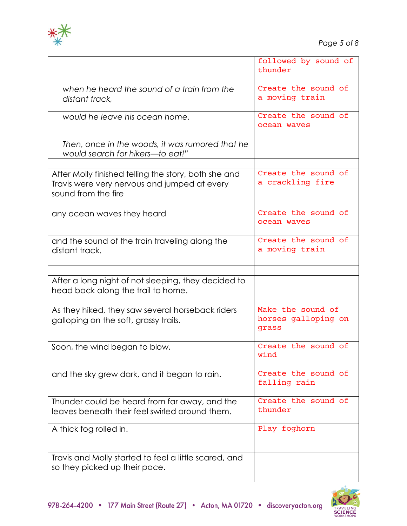

|                                                                                                                             | followed by sound of<br>thunder                   |
|-----------------------------------------------------------------------------------------------------------------------------|---------------------------------------------------|
| when he heard the sound of a train from the<br>distant track,                                                               | Create the sound of<br>a moving train             |
| would he leave his ocean home.                                                                                              | Create the sound of<br>ocean waves                |
| Then, once in the woods, it was rumored that he<br>would search for hikers----to eat!"                                      |                                                   |
| After Molly finished telling the story, both she and<br>Travis were very nervous and jumped at every<br>sound from the fire | Create the sound of<br>a crackling fire           |
| any ocean waves they heard                                                                                                  | Create the sound of<br>ocean wayes                |
| and the sound of the train traveling along the<br>distant track.                                                            | Create the sound of<br>a moving train             |
| After a long night of not sleeping, they decided to<br>head back along the trail to home.                                   |                                                   |
| As they hiked, they saw several horseback riders<br>galloping on the soft, grassy trails.                                   | Make the sound of<br>horses galloping on<br>grass |
| Soon, the wind began to blow,                                                                                               | Create the sound of<br>wind                       |
| and the sky grew dark, and it began to rain.                                                                                | Create the sound of<br>falling rain               |
| Thunder could be heard from far away, and the<br>leaves beneath their feel swirled around them.                             | Create the sound of<br>thunder                    |
| A thick fog rolled in.                                                                                                      | Play foghorn                                      |
| Travis and Molly started to feel a little scared, and<br>so they picked up their pace.                                      |                                                   |

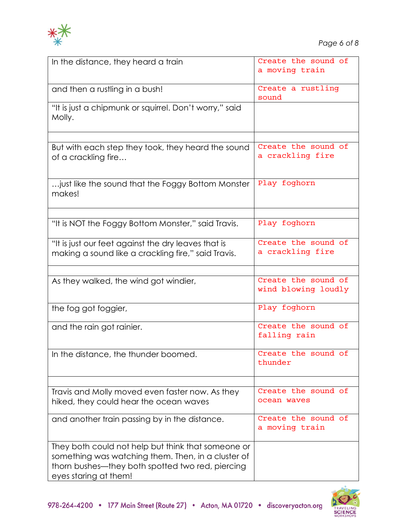

| In the distance, they heard a train                                                                                                                                                   | Create the sound of<br>a moving train      |
|---------------------------------------------------------------------------------------------------------------------------------------------------------------------------------------|--------------------------------------------|
| and then a rustling in a bush!                                                                                                                                                        | Create a rustling<br>sound                 |
| "It is just a chipmunk or squirrel. Don't worry," said<br>Molly.                                                                                                                      |                                            |
| But with each step they took, they heard the sound<br>of a crackling fire                                                                                                             | Create the sound of<br>a crackling fire    |
| just like the sound that the Foggy Bottom Monster<br>makes!                                                                                                                           | Play foghorn                               |
| "It is NOT the Foggy Bottom Monster," said Travis.                                                                                                                                    | Play foghorn                               |
|                                                                                                                                                                                       |                                            |
| "It is just our feet against the dry leaves that is<br>making a sound like a crackling fire," said Travis.                                                                            | Create the sound of<br>a crackling fire    |
| As they walked, the wind got windier,                                                                                                                                                 | Create the sound of<br>wind blowing loudly |
| the fog got foggier,                                                                                                                                                                  | Play foghorn                               |
| and the rain got rainier.                                                                                                                                                             | Create the sound of<br>falling rain        |
| In the distance, the thunder boomed.                                                                                                                                                  | Create the sound of<br>thunder             |
| Travis and Molly moved even faster now. As they                                                                                                                                       | Create the sound of                        |
| hiked, they could hear the ocean waves                                                                                                                                                | ocean waves                                |
| and another train passing by in the distance.                                                                                                                                         | Create the sound of<br>a moving train      |
| They both could not help but think that someone or<br>something was watching them. Then, in a cluster of<br>thorn bushes—they both spotted two red, piercing<br>eyes staring at them! |                                            |

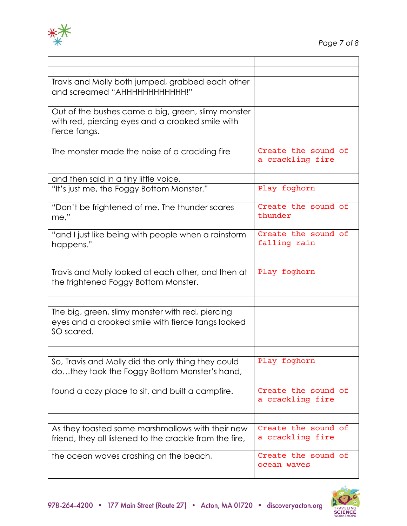

| Travis and Molly both jumped, grabbed each other        |                     |
|---------------------------------------------------------|---------------------|
| and screamed "AHHHHHHHHHHHH!"                           |                     |
|                                                         |                     |
| Out of the bushes came a big, green, slimy monster      |                     |
| with red, piercing eyes and a crooked smile with        |                     |
| fierce fangs.                                           |                     |
|                                                         |                     |
| The monster made the noise of a crackling fire          | Create the sound of |
|                                                         | a crackling fire    |
|                                                         |                     |
|                                                         |                     |
| and then said in a tiny little voice,                   |                     |
| "It's just me, the Foggy Bottom Monster."               | Play foghorn        |
|                                                         |                     |
| "Don't be frightened of me. The thunder scares          | Create the sound of |
| me,"                                                    | thunder             |
|                                                         |                     |
| "and I just like being with people when a rainstorm     | Create the sound of |
| happens."                                               | falling rain        |
|                                                         |                     |
|                                                         |                     |
| Travis and Molly looked at each other, and then at      | Play foghorn        |
| the frightened Foggy Bottom Monster.                    |                     |
|                                                         |                     |
|                                                         |                     |
| The big, green, slimy monster with red, piercing        |                     |
|                                                         |                     |
| eyes and a crooked smile with fierce fangs looked       |                     |
| SO scared.                                              |                     |
|                                                         |                     |
|                                                         |                     |
|                                                         |                     |
| So, Travis and Molly did the only thing they could      | Play foghorn        |
| dothey took the Foggy Bottom Monster's hand,            |                     |
|                                                         |                     |
|                                                         | Create the sound of |
| found a cozy place to sit, and built a campfire.        |                     |
|                                                         | a crackling fire    |
|                                                         |                     |
|                                                         |                     |
| As they toasted some marshmallows with their new        | Create the sound of |
| friend, they all listened to the crackle from the fire, | a crackling fire    |
|                                                         |                     |
| the ocean waves crashing on the beach,                  | Create the sound of |
|                                                         | ocean waves         |